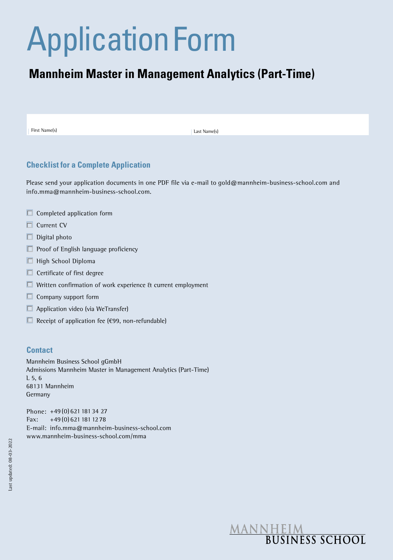# Application Form

# **Mannheim Master in Management Analytics (Part-Time)**

First Name(s) |

Last Name(s)

# **Checklist for a Complete Application**

Please send your application documents in one PDF file via e-mail to gold@mannheim-business-school.com and info.mma@mannheim-business-school.com.

- $\Box$  Completed application form
- □ Current CV
- $\Box$  Digital photo
- $\Box$  Proof of English language proficiency
- High School Diploma
- $\Box$  Certificate of first degree
- Written confirmation of work experience & current employment
- $\Box$  Company support form
- $\Box$  Application video (via WeTransfer)
- Receipt of application fee ( $€99$ , non-refundable)

#### **Contact**

Mannheim Business School gGmbH Admissions Mannheim Master in Management Analytics (Part-Time)  $L$  5, 6 68131 Mannheim Germany

Phone: +49 (0) 621 181 34 27 Fax: +49 (0) 621 181 12 78 E-mail: info.mma@mannheim-business-school.com www.mannheim-business-school.com/mma

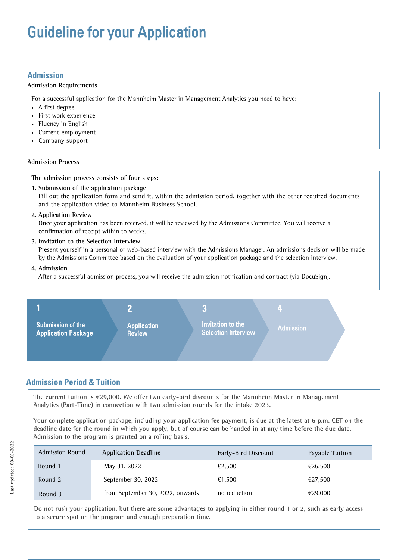# Guideline for your Application

# **Admission**

#### **Admission Requirements**

For a successful application for the Mannheim Master in Management Analytics you need to have:

- A first degree
- First work experience
- Fluency in English
- Current employment
- Company support

#### **Admission Process**

#### **The admission process consists of four steps:**

- **1. Submission of the application package** Fill out the application form and send it, within the admission period, together with the other required documents and the application video to Mannheim Business School.
- **2. Application Review**

Once your application has been received, it will be reviewed by the Admissions Committee. You will receive a confirmation of receipt within to weeks.

**3. Invitation to the Selection Interview** Present yourself in a personal or web-based interview with the Admissions Manager. An admissions decision will be made by the Admissions Committee based on the evaluation of your application package and the selection interview.

#### **4. Admission**

After a successful admission process, you will receive the admission notification and contract (via DocuSign).



# **Admission Period & Tuition**

**The current tuition is ¤29,000. We offer two early-bird discounts for the Mannheim Master in Management Analytics (Part-Time) in connection with two admission rounds for the intake 2023.**

**Your complete application package, including your application fee payment, is due at the latest at 6 p.m. CET on the deadline date for the round in which you apply, but of course can be handed in at any time before the due date. Admission to the program is granted on a rolling basis.**

| <b>Admission Round</b> | <b>Application Deadline</b>      | Early-Bird Discount | <b>Payable Tuition</b> |
|------------------------|----------------------------------|---------------------|------------------------|
| Round 1                | May 31, 2022                     | €2.500              | €26.500                |
| Round 2                | September 30, 2022               | €1.500              | €27.500                |
| Round 3                | from September 30, 2022, onwards | no reduction        | €29,000                |

**Do not rush your application, but there are some advantages to applying in either round 1 or 2, such as early access to a secure spot on the program and enough preparation time.**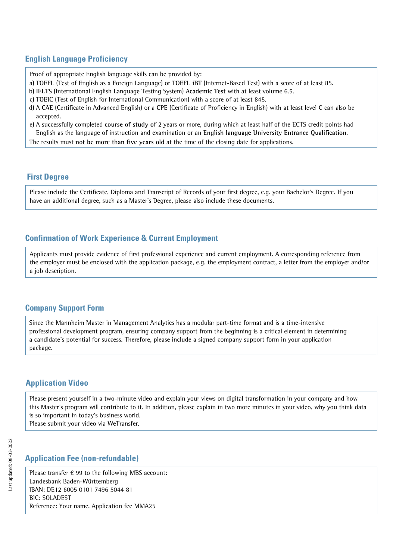# **English Language Proficiency**

Proof of appropriate English language skills can be provided by:

- a) **TOEFL** (Test of English as a Foreign Language) or **TOEFL iBT** (Internet-Based Test) with a score of at least 85.
- b) **IELTS** (International English Language Testing System) **Academic Test** with at least volume 6.5.
- c) **TOEIC** (Test of English for International Communication) with a score of at least 845.
- d) A **CAE** (Certificate in Advanced English) or a **CPE** (Certificate of Proficiency in English) with at least level C can also be accepted.
- e) A successfully completed **course of study of** 2 years or more, during which at least half of the ECTS credit points had English as the language of instruction and examination or an **English language University Entrance Qualification**.

The results must **not be more than five years old** at the time of the closing date for applications.

## **First Degree**

Please include the Certificate, Diploma and Transcript of Records of your first degree, e.g. your Bachelor's Degree. If you have an additional degree, such as a Master's Degree, please also include these documents.

# **Confirmation of Work Experience & Current Employment**

Applicants must provide evidence of first professional experience and current employment. A corresponding reference from the employer must be enclosed with the application package, e.g. the employment contract, a letter from the employer and/or a job description.

# **Company Support Form**

Since the Mannheim Master in Management Analytics has a modular part-time format and is a time-intensive professional development program, ensuring company support from the beginning is a critical element in determining a candidate's potential for success. Therefore, please include a signed company support form in your application package.

# **Application Video**

Please present yourself in a two-minute video and explain your views on digital transformation in your company and how this Master's program will contribute to it. In addition, please explain in two more minutes in your video, why you think data is so important in today's business world.

Please submit your video via WeTransfer.

# **Application Fee (non-refundable)**

Please transfer  $\epsilon$  99 to the following MBS account: Landesbank Baden-Württemberg IBAN: DE12 6005 0101 7496 5044 81 BIC: SOLADEST Reference: Your name, Application fee MMA25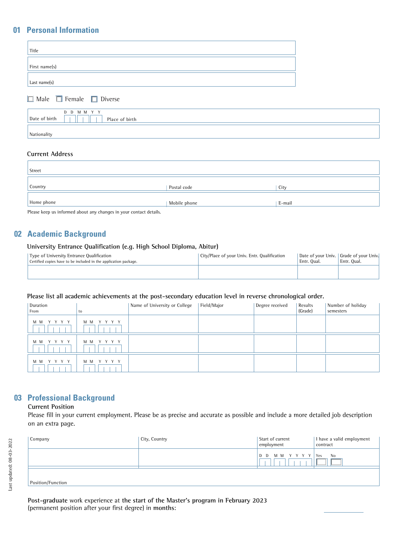# **01 Personal Information**

| Title         |  |
|---------------|--|
| First name(s) |  |
| Last name(s)  |  |

■ Male ■ Female ■ Diverse

|               | D D M M Y Y    |
|---------------|----------------|
| Date of birth | Place of birth |
|               |                |
| Nationality   |                |

#### **Current Address**

| Street     |              |        |
|------------|--------------|--------|
| Country    | Postal code  | City   |
| Home phone | Mobile phone | E-mail |

Please keep us informed about any changes in your contact details.

## **02 Academic Background**

#### **University Entrance Qualification (e.g. High School Diploma, Abitur)**

| Type of University Entrance Qualification<br>Certified copies have to be included in the application package. | City/Place of your Univ. Entr. Qualification | Entr. Oual. | Date of your Univ.   Grade of your Univ.<br>Entr. Oual. |
|---------------------------------------------------------------------------------------------------------------|----------------------------------------------|-------------|---------------------------------------------------------|
|                                                                                                               |                                              |             |                                                         |

#### **Please list all academic achievements at the post-secondary education level in reverse chronological order.**

| Duration<br>From | to          | Name of University or College | Field/Major | Degree received | Results<br>(Grade) | Number of holiday<br>semesters |
|------------------|-------------|-------------------------------|-------------|-----------------|--------------------|--------------------------------|
| YYYY<br>M M      | MM YYYY     |                               |             |                 |                    |                                |
| Y Y Y Y<br>M M   | M M<br>YYYY |                               |             |                 |                    |                                |
| Y Y Y Y<br>M M   | YYYY<br>M M |                               |             |                 |                    |                                |

# **03 Professional Background**

#### **Current Position**

Please fill in your current employment. Please be as precise and accurate as possible and include a more detailed job description on an extra page.

| Company           | City, Country | Start of current<br>employment | 1 have a valid employment<br>contract |
|-------------------|---------------|--------------------------------|---------------------------------------|
|                   |               | D D M M Y Y Y Y                | <b>Yes</b><br>No                      |
| Position/Function |               |                                |                                       |

**Post-graduate** work experience at **the start of the Master's program in February 2023** (permanent position after your first degree) in **months**: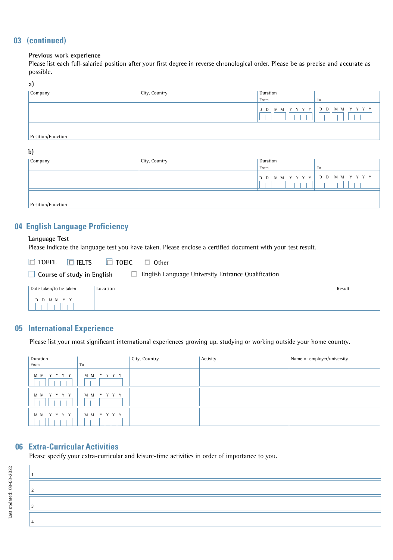# **03 (continued)**

#### **Previous work experience**

Please list each full-salaried position after your first degree in reverse chronological order. Please be as precise and accurate as possible.

#### **a)**

| . .<br>Company    | City, Country | Duration       |                 |
|-------------------|---------------|----------------|-----------------|
|                   |               | From           | To.             |
|                   |               | MM YYYY<br>D D | D D M M Y Y Y Y |
| Position/Function |               |                |                 |

#### **b)**

| Company           | City, Country | Duration       |                |
|-------------------|---------------|----------------|----------------|
|                   |               | From<br>To     |                |
|                   |               | MM YYYY<br>D D | MM YYYY<br>D D |
| Position/Function |               |                |                |

# **04 English Language Proficiency**

#### **Language Test**

Please indicate the language test you have taken. Please enclose a certified document with your test result.

| $\Box$ ielts<br>$\Box$ TOEFL                                                            | $\Box$ toeic<br>Other |        |  |
|-----------------------------------------------------------------------------------------|-----------------------|--------|--|
| English Language University Entrance Qualification<br>$\Box$ Course of study in English |                       |        |  |
| Date taken/to be taken                                                                  | Location              | Result |  |
| MMYY                                                                                    |                       |        |  |

# **05 International Experience**

Please list your most significant international experiences growing up, studying or working outside your home country.

| Duration<br>From | To      | City, Country | Activity | Name of employer/university |
|------------------|---------|---------------|----------|-----------------------------|
| MM YYYY          | MM YYYY |               |          |                             |
| MM YYYY          | MM YYYY |               |          |                             |
| MM YYYY          | MM YYYY |               |          |                             |

# **06 Extra-Curricular Activities**

Please specify your extra-curricular and leisure-time activities in order of importance to you.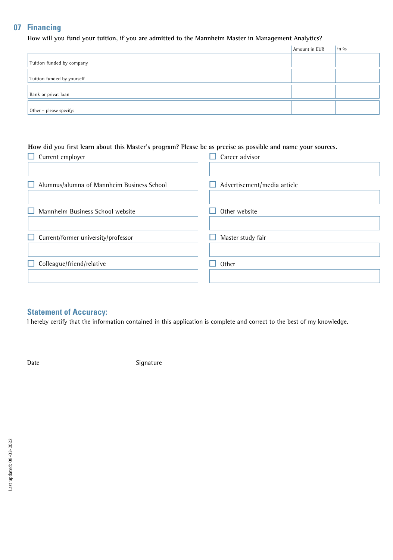# **07 Financing**

**How will you fund your tuition, if you are admitted to the Mannheim Master in Management Analytics?**

|                            | Amount in EUR | $\sin \theta$ |
|----------------------------|---------------|---------------|
| Tuition funded by company  |               |               |
|                            |               |               |
| Tuition funded by yourself |               |               |
|                            |               |               |
| Bank or privat loan        |               |               |
|                            |               |               |
| Other - please specify:    |               |               |

#### **How did you first learn about this Master's program? Please be as precise as possible and name your sources.**

| Current employer<br>H                           | Career advisor              |
|-------------------------------------------------|-----------------------------|
|                                                 |                             |
| Alumnus/alumna of Mannheim Business School<br>ப | Advertisement/media article |
|                                                 |                             |
| Mannheim Business School website                | Other website               |
|                                                 |                             |
| Current/former university/professor<br>L.       | Master study fair           |
|                                                 |                             |
| Colleague/friend/relative<br>ப                  | Other                       |
|                                                 |                             |
|                                                 |                             |

# **Statement of Accuracy:**

I hereby certify that the information contained in this application is complete and correct to the best of my knowledge.

Date Signature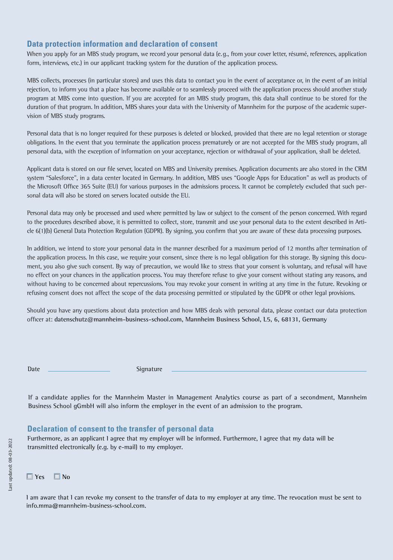# **Data protection information and declaration of consent**

When you apply for an MBS study program, we record your personal data (e.g., from your cover letter, résumé, references, application form, interviews, etc.) in our applicant tracking system for the duration of the application process.

MBS collects, processes (in particular stores) and uses this data to contact you in the event of acceptance or, in the event of an initial rejection, to inform you that a place has become available or to seamlessly proceed with the application process should another study program at MBS come into question. If you are accepted for an MBS study program, this data shall continue to be stored for the duration of that program. In addition, MBS shares your data with the University of Mannheim for the purpose of the academic supervision of MBS study programs.

Personal data that is no longer required for these purposes is deleted or blocked, provided that there are no legal retention or storage obligations. In the event that you terminate the application process prematurely or are not accepted for the MBS study program, all personal data, with the exception of information on your acceptance, rejection or withdrawal of your application, shall be deleted.

Applicant data is stored on our file server, located on MBS and University premises. Application documents are also stored in the CRM system "Salesforce", in a data center located in Germany. In addition, MBS uses "Google Apps for Education" as well as products of the Microsoft Office 365 Suite (EU) for various purposes in the admissions process. It cannot be completely excluded that such personal data will also be stored on servers located outside the EU.

Personal data may only be processed and used where permitted by law or subject to the consent of the person concerned. With regard to the procedures described above, it is permitted to collect, store, transmit and use your personal data to the extent described in Article 6(1)(b) General Data Protection Regulation (GDPR). By signing, you confirm that you are aware of these data processing purposes.

In addition, we intend to store your personal data in the manner described for a maximum period of 12 months after termination of the application process. In this case, we require your consent, since there is no legal obligation for this storage. By signing this document, you also give such consent. By way of precaution, we would like to stress that your consent is voluntary, and refusal will have no effect on your chances in the application process. You may therefore refuse to give your consent without stating any reasons, and without having to be concerned about repercussions. You may revoke your consent in writing at any time in the future. Revoking or refusing consent does not affect the scope of the data processing permitted or stipulated by the GDPR or other legal provisions.

Should you have any questions about data protection and how MBS deals with personal data, please contact our data protection officer at: **datenschutz@mannheim-business-school.com, Mannheim Business School, L5, 6, 68131, Germany**

Date Signature

If a candidate applies for the Mannheim Master in Management Analytics course as part of a secondment, Mannheim Business School gGmbH will also inform the employer in the event of an admission to the program.

# **Declaration of consent to the transfer of personal data**

Furthermore, as an applicant I agree that my employer will be informed. Furthermore, I agree that my data will be transmitted electronically (e.g. by e-mail) to my employer.

■ **Yes** ■ **No**

I am aware that I can revoke my consent to the transfer of data to my employer at any time. The revocation must be sent to info.mma@mannheim-business-school.com.